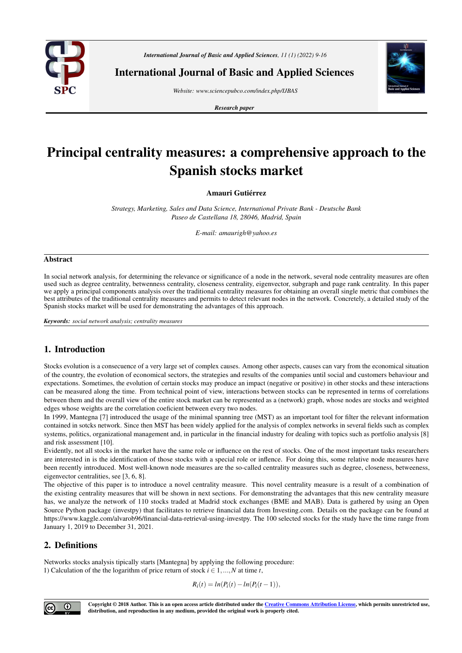

*International Journal of Basic and Applied Sciences, 11 (1) (2022) 9-16*

International Journal of Basic and Applied Sciences

*Website: www.sciencepubco.com/index.php/IJBAS*

*Research paper*



# Principal centrality measures: a comprehensive approach to the Spanish stocks market

Amauri Gutiérrez

*Strategy, Marketing, Sales and Data Science, International Private Bank - Deutsche Bank Paseo de Castellana 18, 28046, Madrid, Spain*

*E-mail: amaurigh@yahoo.es*

#### Abstract

In social network analysis, for determining the relevance or significance of a node in the network, several node centrality measures are often used such as degree centrality, betwenness centrality, closeness centrality, eigenvector, subgraph and page rank centrality. In this paper we apply a principal components analysis over the traditional centrality measures for obtaining an overall single metric that combines the best attributes of the traditional centrality measures and permits to detect relevant nodes in the network. Concretely, a detailed study of the Spanish stocks market will be used for demonstrating the advantages of this approach.

*Keywords: social network analysis; centrality measures*

# 1. Introduction

Stocks evolution is a consecuence of a very large set of complex causes. Among other aspects, causes can vary from the economical situation of the country, the evolution of economical sectors, the strategies and results of the companies until social and customers behaviour and expectations. Sometimes, the evolution of certain stocks may produce an impact (negative or positive) in other stocks and these interactions can be measured along the time. From technical point of view, interactions between stocks can be represented in terms of correlations between them and the overall view of the entire stock market can be represented as a (network) graph, whose nodes are stocks and weighted edges whose weights are the correlation coeficient between every two nodes.

In 1999, Mantegna [7] introduced the usage of the minimal spanning tree (MST) as an important tool for filter the relevant information contained in sotcks network. Since then MST has been widely applied for the analysis of complex networks in several fields such as complex systems, politics, organizational management and, in particular in the financial industry for dealing with topics such as portfolio analysis [8] and risk assessment [10].

Evidently, not all stocks in the market have the same role or influence on the rest of stocks. One of the most important tasks researchers are interested in is the identification of those stocks with a special role or inflence. For doing this, some relative node measures have been recently introduced. Most well-known node measures are the so-called centrality measures such as degree, closeness, betweeness, eigenvector centralities, see [3, 6, 8].

The objective of this paper is to introduce a novel centrality measure. This novel centrality measure is a result of a combination of the existing centrality measures that will be shown in next sections. For demonstrating the advantages that this new centrality measure has, we analyze the network of 110 stocks traded at Madrid stock exchanges (BME and MAB). Data is gathered by using an Open Source Python package (investpy) that facilitates to retrieve financial data from Investing.com. Details on the package can be found at https://www.kaggle.com/alvarob96/financial-data-retrieval-using-investpy. The 100 selected stocks for the study have the time range from January 1, 2019 to December 31, 2021.

# 2. Definitions

Networks stocks analysis tipically starts [Mantegna] by applying the following procedure: 1) Calculation of the the logarithm of price return of stock  $i \in 1, ..., N$  at time *t*,

$$
R_i(t) = ln(P_i(t) - ln(P_i(t-1)),
$$



Copyright © 2018 Author. This is an open access article distributed under the Creative Commons Attribution License, which permits unrestricted use, distribution, and reproduction in any medium, provided the original work is properly cited.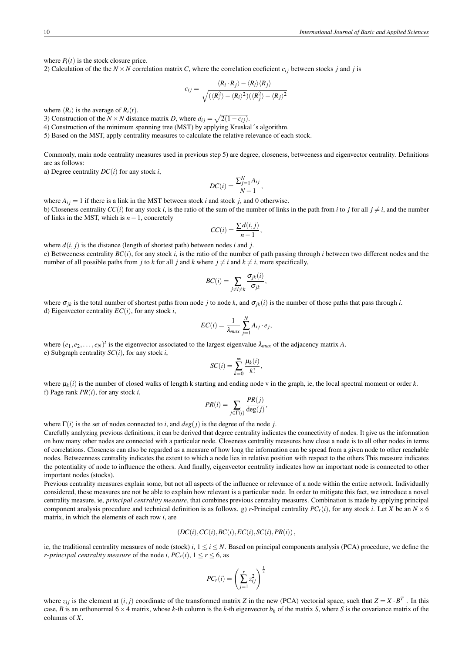where  $P_i(t)$  is the stock closure price.

2) Calculation of the the  $N \times N$  correlation matrix *C*, where the correlation coeficient  $c_{ij}$  between stocks *j* and *j* is

$$
c_{ij} = \frac{\langle R_i \cdot R_j \rangle - \langle R_i \rangle \langle R_j \rangle}{\sqrt{(\langle R_i^2 \rangle - \langle R_i \rangle^2)(\langle R_j^2 \rangle - \langle R_j \rangle^2)}}
$$

where  $\langle R_i \rangle$  is the average of  $R_i(t)$ .

3) Construction of the *N* × *N* distance matrix *D*, where  $d_{ij} = \sqrt{2(1 - c_{ij})}$ .

4) Construction of the minimum spanning tree (MST) by applying Kruskal´s algorithm.

5) Based on the MST, apply centrality measures to calculate the relative relevance of each stock.

Commonly, main node centrality measures used in previous step 5) are degree, closeness, betweeness and eigenvector centrality. Definitions are as follows:

a) Degree centrality *DC*(*i*) for any stock *i*,

$$
DC(i) = \frac{\sum_{j=1}^{N} A_{ij}}{N-1},
$$

where  $A_{ij} = 1$  if there is a link in the MST between stock *i* and stock *j*, and 0 otherwise. b) Closeness centrality  $CC(i)$  for any stock *i*, is the ratio of the sum of the number of links in the path from *i* to *j* for all  $j \neq i$ , and the number of links in the MST, which is *n*−1, concretely

$$
CC(i) = \frac{\sum d(i,j)}{n-1},
$$

where  $d(i, j)$  is the distance (length of shortest path) between nodes *i* and *j*. c) Betweeness centrality  $BC(i)$ , for any stock *i*, is the ratio of the number of path passing through *i* between two different nodes and the number of all possible paths from *j* to *k* for all *j* and *k* where  $j \neq i$  and  $k \neq i$ , more specifically,

$$
BC(i) = \sum_{j \neq i \neq k} \frac{\sigma_{jk}(i)}{\sigma_{jk}},
$$

where  $\sigma_{ik}$  is the total number of shortest paths from node *j* to node *k*, and  $\sigma_{ik}(i)$  is the number of those paths that pass through *i*. d) Eigenvector centrality  $EC(i)$ , for any stock *i*,

$$
EC(i) = \frac{1}{\lambda_{max}} \sum_{j=1}^{N} A_{ij} \cdot e_j,
$$

where  $(e_1, e_2, \ldots, e_N)^t$  is the eigenvector associated to the largest eigenvalue  $\lambda_{max}$  of the adjacency matrix *A*. e) Subgraph centrality *SC*(*i*), for any stock *i*,

$$
SC(i) = \sum_{k=0}^{\infty} \frac{\mu_k(i)}{k!},
$$

where  $\mu_k(i)$  is the number of closed walks of length k starting and ending node v in the graph, ie, the local spectral moment or order  $k$ . f) Page rank *PR*(*i*), for any stock *i*,

$$
PR(i) = \sum_{j \in \Gamma(i)} \frac{PR(j)}{\deg(j)},
$$

where  $\Gamma(i)$  is the set of nodes connected to *i*, and  $deg(i)$  is the degree of the node *j*.

Carefully analyzing previous definitions, it can be derived that degree centrality indicates the connectivity of nodes. It give us the information on how many other nodes are connected with a particular node. Closeness centrality measures how close a node is to all other nodes in terms of correlations. Closeness can also be regarded as a measure of how long the information can be spread from a given node to other reachable nodes. Betweenness centrality indicates the extent to which a node lies in relative position with respect to the others This measure indicates the potentiality of node to influence the others. And finally, eigenvector centrality indicates how an important node is connected to other important nodes (stocks).

Previous centrality measures explain some, but not all aspects of the influence or relevance of a node within the entire network. Individually considered, these measures are not be able to explain how relevant is a particular node. In order to mitigate this fact, we introduce a novel centrality measure, ie, *principal centrality measure*, that combines previous centrality measures. Combination is made by applying principal component analysis procedure and technical definition is as follows. g) *r*-Principal centrality  $PC_r(i)$ , for any stock *i*. Let *X* be an  $N \times 6$ matrix, in which the elements of each row *i*, are

$$
(DC(i), CC(i), BC(i), EC(i), SC(i), PR(i)),
$$

ie, the traditional centrality measures of node (stock) *i*,  $1 \le i \le N$ . Based on principal components analysis (PCA) procedure, we define the *r*-*principal centrality measure* of the node *i*,  $PC_r(i)$ ,  $1 \le r \le 6$ , as

$$
PC_r(i) = \left(\sum_{j=1}^r z_{ij}^2\right)^{\frac{1}{2}}
$$

where  $z_{ij}$  is the element at  $(i, j)$  coordinate of the transformed matrix *Z* in the new (PCA) vectorial space, such that  $Z = X \cdot B^T$ . In this case, *B* is an orthonormal  $6 \times 4$  matrix, whose *k*-th column is the *k*-th eigenvector  $b_k$  of the matrix *S*, where *S* is the covariance matrix of the columns of *X*.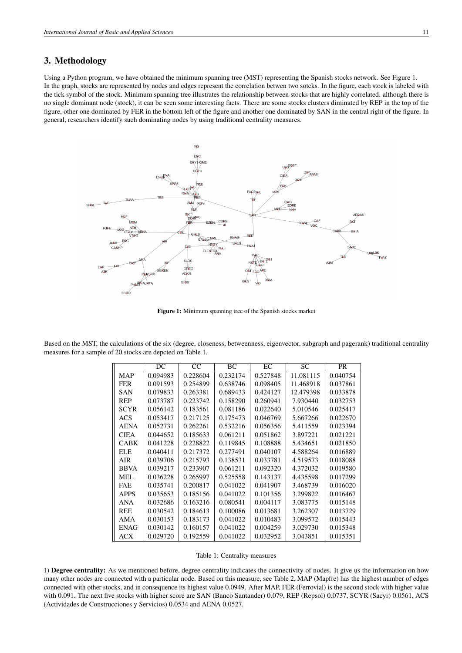## 3. Methodology

Using a Python program, we have obtained the minimum spanning tree (MST) representing the Spanish stocks network. See Figure 1. In the graph, stocks are represented by nodes and edges represent the correlation betwen two sotcks. In the figure, each stock is labeled with the tick symbol of the stock. Minimum spanning tree illustrates the relationship between stocks that are highly correlated. although there is no single dominant node (stock), it can be seen some interesting facts. There are some stocks clusters diminated by REP in the top of the figure, other one dominated by FER in the bottom left of the figure and another one dominated by SAN in the central right of the figure. In general, researchers identify such dominating nodes by using traditional centrality measures.



Figure 1: Minimum spanning tree of the Spanish stocks market

Based on the MST, the calculations of the six (degree, closeness, betweenness, eigenvector, subgraph and pagerank) traditional centrality measures for a sample of 20 stocks are depcted on Table 1.

|             | DC       | CC       | BC       | EC       | SC        | <b>PR</b> |
|-------------|----------|----------|----------|----------|-----------|-----------|
| <b>MAP</b>  | 0.094983 | 0.228604 | 0.232174 | 0.527848 | 11.081115 | 0.040754  |
| <b>FER</b>  | 0.091593 | 0.254899 | 0.638746 | 0.098405 | 11.468918 | 0.037861  |
| <b>SAN</b>  | 0.079833 | 0.263381 | 0.689433 | 0.424127 | 12.479398 | 0.033878  |
| <b>REP</b>  | 0.073787 | 0.223742 | 0.158290 | 0.260941 | 7.930440  | 0.032753  |
| <b>SCYR</b> | 0.056142 | 0.183561 | 0.081186 | 0.022640 | 5.010546  | 0.025417  |
| ACS         | 0.053417 | 0.217125 | 0.175473 | 0.046769 | 5.667266  | 0.022670  |
| <b>AENA</b> | 0.052731 | 0.262261 | 0.532216 | 0.056356 | 5.411559  | 0.023394  |
| <b>CIEA</b> | 0.044652 | 0.185633 | 0.061211 | 0.051862 | 3.897221  | 0.021221  |
| <b>CABK</b> | 0.041228 | 0.228822 | 0.119845 | 0.108888 | 5.434651  | 0.021850  |
| ELE         | 0.040411 | 0.217372 | 0.277491 | 0.040107 | 4.588264  | 0.016889  |
| AIR         | 0.039706 | 0.215793 | 0.138531 | 0.033781 | 4.519573  | 0.018088  |
| <b>BBVA</b> | 0.039217 | 0.233907 | 0.061211 | 0.092320 | 4.372032  | 0.019580  |
| MEL         | 0.036228 | 0.265997 | 0.525558 | 0.143137 | 4.435598  | 0.017299  |
| <b>FAE</b>  | 0.035741 | 0.200817 | 0.041022 | 0.041907 | 3.468739  | 0.016020  |
| <b>APPS</b> | 0.035653 | 0.185156 | 0.041022 | 0.101356 | 3.299822  | 0.016467  |
| <b>ANA</b>  | 0.032686 | 0.163216 | 0.080541 | 0.004117 | 3.083775  | 0.015148  |
| <b>REE</b>  | 0.030542 | 0.184613 | 0.100086 | 0.013681 | 3.262307  | 0.013729  |
| AMA         | 0.030153 | 0.183173 | 0.041022 | 0.010483 | 3.099572  | 0.015443  |
| <b>ENAG</b> | 0.030142 | 0.160157 | 0.041022 | 0.004259 | 3.029730  | 0.015348  |
| ACX         | 0.029720 | 0.192559 | 0.041022 | 0.032952 | 3.043851  | 0.015351  |

#### Table 1: Centrality measures

1) Degree centrality: As we mentioned before, degree centrality indicates the connectivity of nodes. It give us the information on how many other nodes are connected with a particular node. Based on this measure, see Table 2, MAP (Mapfre) has the highest number of edges connected with other stocks, and in consequence its highest value 0.0949. After MAP, FER (Ferrovial) is the second stock with higher value with 0.091. The next five stocks with higher score are SAN (Banco Santander) 0.079, REP (Repsol) 0.0737, SCYR (Sacyr) 0.0561, ACS (Actividades de Construcciones y Servicios) 0.0534 and AENA 0.0527.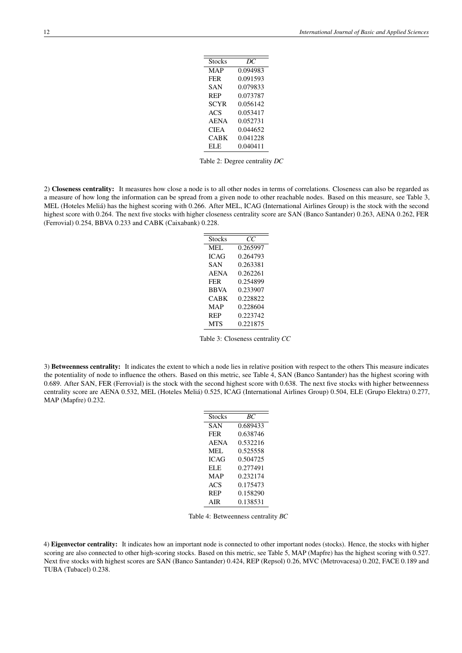| Stocks      | DС       |
|-------------|----------|
| MAP         | 0.094983 |
| <b>FER</b>  | 0.091593 |
| SAN         | 0.079833 |
| <b>REP</b>  | 0.073787 |
| <b>SCYR</b> | 0.056142 |
| ACS         | 0.053417 |
| <b>AENA</b> | 0.052731 |
| <b>CIEA</b> | 0.044652 |
| CABK        | 0.041228 |
| <b>ELE</b>  | 0.040411 |
|             |          |

Table 2: Degree centrality *DC*

2) Closeness centrality: It measures how close a node is to all other nodes in terms of correlations. Closeness can also be regarded as a measure of how long the information can be spread from a given node to other reachable nodes. Based on this measure, see Table 3, MEL (Hoteles Meliá) has the highest scoring with 0.266. After MEL, ICAG (International Airlines Group) is the stock with the second highest score with 0.264. The next five stocks with higher closeness centrality score are SAN (Banco Santander) 0.263, AENA 0.262, FER (Ferrovial) 0.254, BBVA 0.233 and CABK (Caixabank) 0.228.

| <b>Stocks</b> | CC       |
|---------------|----------|
| MEL.          | 0.265997 |
| <b>ICAG</b>   | 0.264793 |
| SAN           | 0.263381 |
| <b>AENA</b>   | 0.262261 |
| <b>FER</b>    | 0.254899 |
| <b>BBVA</b>   | 0.233907 |
| CABK          | 0.228822 |
| MAP           | 0.228604 |
| <b>REP</b>    | 0.223742 |
| <b>MTS</b>    | 0.221875 |

Table 3: Closeness centrality *CC*

3) Betweenness centrality: It indicates the extent to which a node lies in relative position with respect to the others This measure indicates the potentiality of node to influence the others. Based on this metric, see Table 4, SAN (Banco Santander) has the highest scoring with 0.689. After SAN, FER (Ferrovial) is the stock with the second highest score with 0.638. The next five stocks with higher betweenness centrality score are AENA 0.532, MEL (Hoteles Meliá) 0.525, ICAG (International Airlines Group) 0.504, ELE (Grupo Elektra) 0.277, MAP (Mapfre) 0.232.

| Stocks      | ВC       |
|-------------|----------|
| SAN         | 0.689433 |
| <b>FER</b>  | 0.638746 |
| <b>AENA</b> | 0.532216 |
| MEL.        | 0.525558 |
| <b>ICAG</b> | 0.504725 |
| EL E        | 0.277491 |
| MAP         | 0.232174 |
| ACS         | 0.175473 |
| <b>REP</b>  | 0.158290 |
| AIR         | 0.138531 |

Table 4: Betweenness centrality *BC*

4) Eigenvector centrality: It indicates how an important node is connected to other important nodes (stocks). Hence, the stocks with higher scoring are also connected to other high-scoring stocks. Based on this metric, see Table 5, MAP (Mapfre) has the highest scoring with 0.527. Next five stocks with highest scores are SAN (Banco Santander) 0.424, REP (Repsol) 0.26, MVC (Metrovacesa) 0.202, FACE 0.189 and TUBA (Tubacel) 0.238.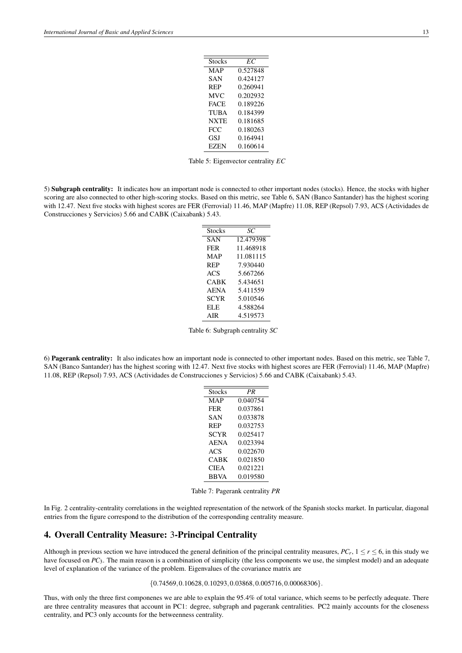| Stocks      | EС       |
|-------------|----------|
| MAP         | 0.527848 |
| SAN         | 0.424127 |
| <b>REP</b>  | 0.260941 |
| <b>MVC</b>  | 0.202932 |
| <b>FACE</b> | 0.189226 |
| <b>TUBA</b> | 0.184399 |
| <b>NXTE</b> | 0.181685 |
| FCC.        | 0.180263 |
| GSI         | 0.164941 |
| <b>EZEN</b> | 0.160614 |
|             |          |

Table 5: Eigenvector centrality *EC*

5) Subgraph centrality: It indicates how an important node is connected to other important nodes (stocks). Hence, the stocks with higher scoring are also connected to other high-scoring stocks. Based on this metric, see Table 6, SAN (Banco Santander) has the highest scoring with 12.47. Next five stocks with highest scores are FER (Ferrovial) 11.46, MAP (Mapfre) 11.08, REP (Repsol) 7.93, ACS (Actividades de Construcciones y Servicios) 5.66 and CABK (Caixabank) 5.43.

| <b>Stocks</b> | SС        |
|---------------|-----------|
| <b>SAN</b>    | 12.479398 |
| <b>FER</b>    | 11.468918 |
| MAP           | 11.081115 |
| <b>REP</b>    | 7.930440  |
| <b>ACS</b>    | 5.667266  |
| CABK          | 5.434651  |
| <b>AENA</b>   | 5.411559  |
| <b>SCYR</b>   | 5.010546  |
| ELE           | 4.588264  |
| AIR.          | 4.519573  |
|               |           |

Table 6: Subgraph centrality *SC*

6) Pagerank centrality: It also indicates how an important node is connected to other important nodes. Based on this metric, see Table 7, SAN (Banco Santander) has the highest scoring with 12.47. Next five stocks with highest scores are FER (Ferrovial) 11.46, MAP (Mapfre) 11.08, REP (Repsol) 7.93, ACS (Actividades de Construcciones y Servicios) 5.66 and CABK (Caixabank) 5.43.

| Stocks      | PR       |
|-------------|----------|
| MAP         | 0.040754 |
| <b>FER</b>  | 0.037861 |
| SAN         | 0.033878 |
| <b>REP</b>  | 0.032753 |
| <b>SCYR</b> | 0.025417 |
| <b>AENA</b> | 0.023394 |
| ACS         | 0.022670 |
| CABK        | 0.021850 |
| CIEA        | 0.021221 |
| <b>BBVA</b> | 0.019580 |
|             |          |

Table 7: Pagerank centrality *PR*

In Fig. 2 centrality-centrality correlations in the weighted representation of the network of the Spanish stocks market. In particular, diagonal entries from the figure correspond to the distribution of the corresponding centrality measure.

## 4. Overall Centrality Measure: 3-Principal Centrality

Although in previous section we have introduced the general definition of the principal centrality measures,  $PC_r$ ,  $1 \le r \le 6$ , in this study we have focused on *PC*<sub>3</sub>. The main reason is a combination of simplicity (the less components we use, the simplest model) and an adequate level of explanation of the variance of the problem. Eigenvalues of the covariance matrix are

#### ${0.74569, 0.10628, 0.10293, 0.03868, 0.005716, 0.00068306}.$

Thus, with only the three first componenes we are able to explain the 95.4% of total variance, which seems to be perfectly adequate. There are three centrality measures that account in PC1: degree, subgraph and pagerank centralities. PC2 mainly accounts for the closeness centrality, and PC3 only accounts for the betweenness centrality.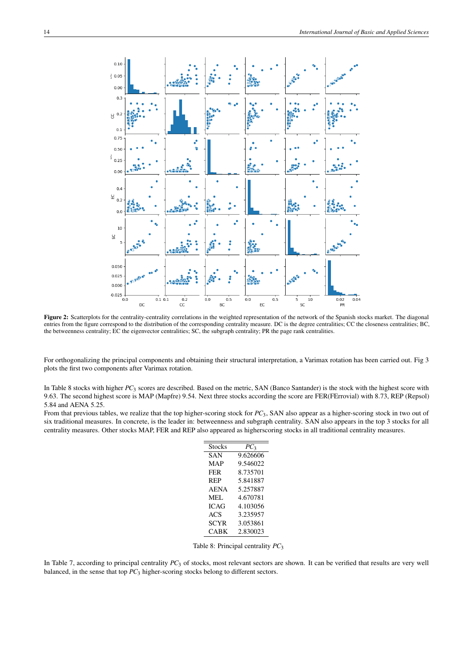

Figure 2: Scatterplots for the centrality-centrality correlations in the weighted representation of the network of the Spanish stocks market. The diagonal entries from the figure correspond to the distribution of the corresponding centrality measure. DC is the degree centralities; CC the closeness centralities; BC, the betweenness centrality; EC the eigenvector centralities; SC, the subgraph centrality; PR the page rank centralities.

For orthogonalizing the principal components and obtaining their structural interpretation, a Varimax rotation has been carried out. Fig 3 plots the first two components after Varimax rotation.

In Table 8 stocks with higher *PC*<sup>3</sup> scores are described. Based on the metric, SAN (Banco Santander) is the stock with the highest score with 9.63. The second highest score is MAP (Mapfre) 9.54. Next three stocks according the score are FER(FErrovial) with 8.73, REP (Repsol) 5.84 and AENA 5.25.

From that previous tables, we realize that the top higher-scoring stock for *PC*3, SAN also appear as a higher-scoring stock in two out of six traditional measures. In concrete, is the leader in: betweenness and subgraph centrality. SAN also appears in the top 3 stocks for all centrality measures. Other stocks MAP, FER and REP also appeared as higherscoring stocks in all traditional centrality measures.

| $PC_3$   |
|----------|
| 9.626606 |
| 9.546022 |
| 8.735701 |
| 5.841887 |
| 5.257887 |
| 4.670781 |
| 4.103056 |
| 3.235957 |
| 3.053861 |
| 2.830023 |
|          |

Table 8: Principal centrality *PC*<sup>3</sup>

In Table 7, according to principal centrality *PC*<sub>3</sub> of stocks, most relevant sectors are shown. It can be verified that results are very well balanced, in the sense that top *PC*<sup>3</sup> higher-scoring stocks belong to different sectors.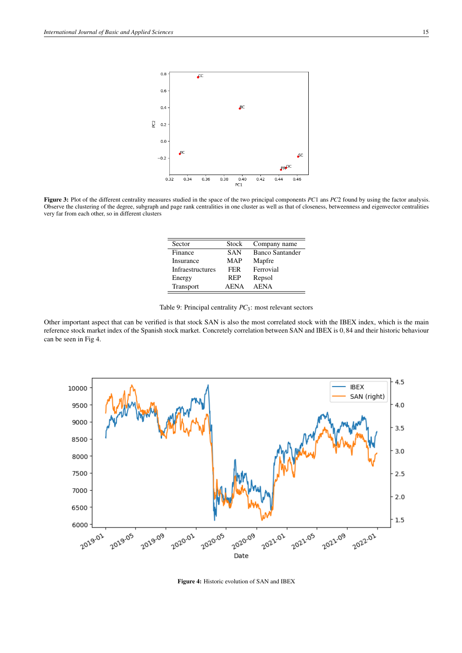

Figure 3: Plot of the different centrality measures studied in the space of the two principal components *PC*1 ans *PC*2 found by using the factor analysis. Observe the clustering of the degree, subgraph and page rank centralities in one cluster as well as that of closeness, betweenness and eigenvector centralities very far from each other, so in different clusters

| Sector           | Stock       | Company name    |
|------------------|-------------|-----------------|
| Finance          | <b>SAN</b>  | Banco Santander |
| Insurance        | MAP         | Mapfre          |
| Infraestructures | <b>FER</b>  | Ferrovial       |
| Energy           | REP         | Repsol          |
| Transport        | <b>AENA</b> | <b>AENA</b>     |

Table 9: Principal centrality *PC*3: most relevant sectors

Other important aspect that can be verified is that stock SAN is also the most correlated stock with the IBEX index, which is the main reference stock market index of the Spanish stock market. Concretely correlation between SAN and IBEX is 0,84 and their historic behaviour can be seen in Fig 4.



Figure 4: Historic evolution of SAN and IBEX